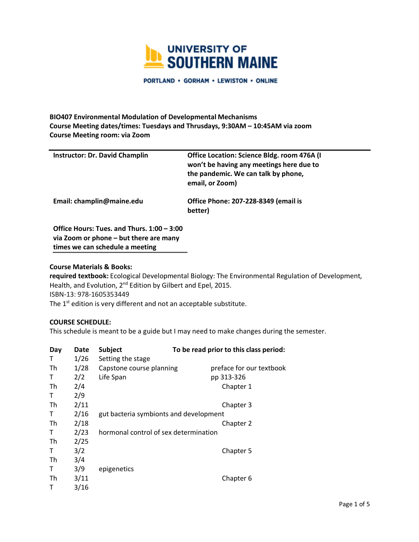

PORTLAND . GORHAM . LEWISTON . ONLINE

# **BIO407 Environmental Modulation of Developmental Mechanisms Course Meeting dates/times: Tuesdays and Thrusdays, 9:30AM – 10:45AM via zoom Course Meeting room: via Zoom**

| <b>Instructor: Dr. David Champlin</b>                                                                                   | Office Location: Science Bldg. room 476A (I<br>won't be having any meetings here due to<br>the pandemic. We can talk by phone,<br>email, or Zoom) |
|-------------------------------------------------------------------------------------------------------------------------|---------------------------------------------------------------------------------------------------------------------------------------------------|
| Email: champlin@maine.edu                                                                                               | <b>Office Phone: 207-228-8349 (email is</b><br>better)                                                                                            |
| Office Hours: Tues. and Thurs. 1:00 - 3:00<br>via Zoom or phone – but there are many<br>times we can schedule a meeting |                                                                                                                                                   |

#### **Course Materials & Books:**

**required textbook:** Ecological Developmental Biology: The Environmental Regulation of Development, Health, and Evolution, 2<sup>nd</sup> Edition by Gilbert and Epel, 2015. ISBN-13: 978-1605353449 The 1<sup>st</sup> edition is very different and not an acceptable substitute.

### **COURSE SCHEDULE:**

This schedule is meant to be a guide but I may need to make changes during the semester.

| Day | Date | Subject                                | To be read prior to this class period: |
|-----|------|----------------------------------------|----------------------------------------|
| т   | 1/26 | Setting the stage                      |                                        |
| Th  | 1/28 | Capstone course planning               | preface for our textbook               |
| т   | 2/2  | Life Span                              | pp 313-326                             |
| Th  | 2/4  |                                        | Chapter 1                              |
| т   | 2/9  |                                        |                                        |
| Th  | 2/11 |                                        | Chapter 3                              |
| Т   | 2/16 | gut bacteria symbionts and development |                                        |
| Th  | 2/18 |                                        | Chapter 2                              |
| т   | 2/23 | hormonal control of sex determination  |                                        |
| Th  | 2/25 |                                        |                                        |
| т   | 3/2  |                                        | Chapter 5                              |
| Th  | 3/4  |                                        |                                        |
| Т   | 3/9  | epigenetics                            |                                        |
| Th  | 3/11 |                                        | Chapter 6                              |
| т   | 3/16 |                                        |                                        |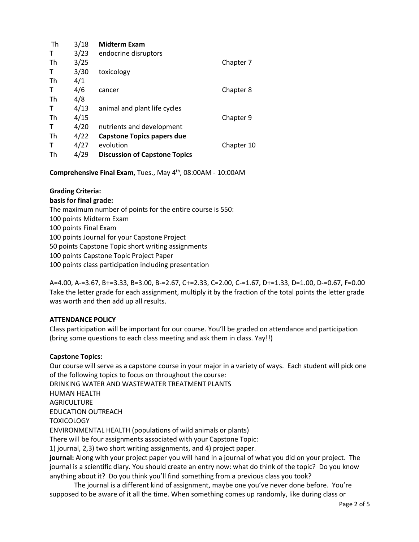| Th | 3/18 | <b>Midterm Exam</b>                  |            |
|----|------|--------------------------------------|------------|
| т  | 3/23 | endocrine disruptors                 |            |
| Th | 3/25 |                                      | Chapter 7  |
| Τ  | 3/30 | toxicology                           |            |
| Th | 4/1  |                                      |            |
| т  | 4/6  | cancer                               | Chapter 8  |
| Th | 4/8  |                                      |            |
| Т  | 4/13 | animal and plant life cycles         |            |
| Th | 4/15 |                                      | Chapter 9  |
| т  | 4/20 | nutrients and development            |            |
| Th | 4/22 | <b>Capstone Topics papers due</b>    |            |
| Т  | 4/27 | evolution                            | Chapter 10 |
| Th | 4/29 | <b>Discussion of Capstone Topics</b> |            |

**Comprehensive Final Exam,** Tues., May 4th, 08:00AM - 10:00AM

# **Grading Criteria:**

# **basis for final grade:**

The maximum number of points for the entire course is 550: 100 points Midterm Exam 100 points Final Exam 100 points Journal for your Capstone Project 50 points Capstone Topic short writing assignments 100 points Capstone Topic Project Paper 100 points class participation including presentation

A=4.00, A-=3.67, B+=3.33, B=3.00, B-=2.67, C+=2.33, C=2.00, C-=1.67, D+=1.33, D=1.00, D-=0.67, F=0.00 Take the letter grade for each assignment, multiply it by the fraction of the total points the letter grade was worth and then add up all results.

# **ATTENDANCE POLICY**

Class participation will be important for our course. You'll be graded on attendance and participation (bring some questions to each class meeting and ask them in class. Yay!!)

# **Capstone Topics:**

Our course will serve as a capstone course in your major in a variety of ways. Each student will pick one of the following topics to focus on throughout the course: DRINKING WATER AND WASTEWATER TREATMENT PLANTS HUMAN HEALTH **AGRICULTURE** EDUCATION OUTREACH **TOXICOLOGY** ENVIRONMENTAL HEALTH (populations of wild animals or plants) There will be four assignments associated with your Capstone Topic: 1) journal, 2,3) two short writing assignments, and 4) project paper. **journal:** Along with your project paper you will hand in a journal of what you did on your project. The journal is a scientific diary. You should create an entry now: what do think of the topic? Do you know anything about it? Do you think you'll find something from a previous class you took?

The journal is a different kind of assignment, maybe one you've never done before. You're supposed to be aware of it all the time. When something comes up randomly, like during class or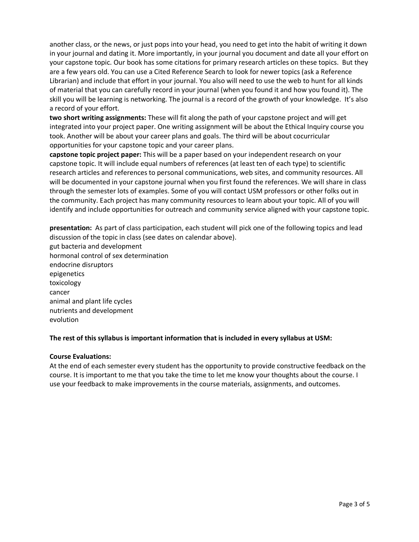another class, or the news, or just pops into your head, you need to get into the habit of writing it down in your journal and dating it. More importantly, in your journal you document and date all your effort on your capstone topic. Our book has some citations for primary research articles on these topics. But they are a few years old. You can use a Cited Reference Search to look for newer topics (ask a Reference Librarian) and include that effort in your journal. You also will need to use the web to hunt for all kinds of material that you can carefully record in your journal (when you found it and how you found it). The skill you will be learning is networking. The journal is a record of the growth of your knowledge. It's also a record of your effort.

**two short writing assignments:** These will fit along the path of your capstone project and will get integrated into your project paper. One writing assignment will be about the Ethical Inquiry course you took. Another will be about your career plans and goals. The third will be about cocurricular opportunities for your capstone topic and your career plans.

**capstone topic project paper:** This will be a paper based on your independent research on your capstone topic. It will include equal numbers of references (at least ten of each type) to scientific research articles and references to personal communications, web sites, and community resources. All will be documented in your capstone journal when you first found the references. We will share in class through the semester lots of examples. Some of you will contact USM professors or other folks out in the community. Each project has many community resources to learn about your topic. All of you will identify and include opportunities for outreach and community service aligned with your capstone topic.

**presentation:** As part of class participation, each student will pick one of the following topics and lead discussion of the topic in class (see dates on calendar above). gut bacteria and development hormonal control of sex determination endocrine disruptors epigenetics toxicology cancer animal and plant life cycles nutrients and development evolution

# **The rest of this syllabus is important information that is included in every syllabus at USM:**

### **Course Evaluations:**

At the end of each semester every student has the opportunity to provide constructive feedback on the course. It is important to me that you take the time to let me know your thoughts about the course. I use your feedback to make improvements in the course materials, assignments, and outcomes.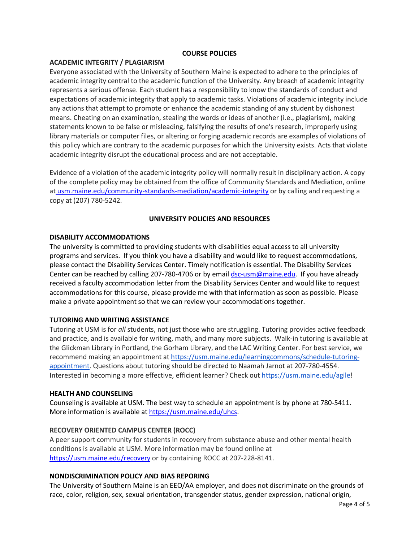### **COURSE POLICIES**

### **ACADEMIC INTEGRITY / PLAGIARISM**

Everyone associated with the University of Southern Maine is expected to adhere to the principles of academic integrity central to the academic function of the University. Any breach of academic integrity represents a serious offense. Each student has a responsibility to know the standards of conduct and expectations of academic integrity that apply to academic tasks. Violations of academic integrity include any actions that attempt to promote or enhance the academic standing of any student by dishonest means. Cheating on an examination, stealing the words or ideas of another (i.e., plagiarism), making statements known to be false or misleading, falsifying the results of one's research, improperly using library materials or computer files, or altering or forging academic records are examples of violations of this policy which are contrary to the academic purposes for which the University exists. Acts that violate academic integrity disrupt the educational process and are not acceptable.

Evidence of a violation of the academic integrity policy will normally result in disciplinary action. A copy of the complete policy may be obtained from the office of Community Standards and Mediation, online at usm.maine.edu/community-standards-mediation/academic-integrity or by calling and requesting a copy at (207) 780-5242.

#### **UNIVERSITY POLICIES AND RESOURCES**

### **DISABILITY ACCOMMODATIONS**

The university is committed to providing students with disabilities equal access to all university programs and services. If you think you have a disability and would like to request accommodations, please contact the Disability Services Center. Timely notification is essential. The Disability Services Center can be reached by calling 207-780-4706 or by email dsc-usm@maine.edu. If you have already received a faculty accommodation letter from the Disability Services Center and would like to request accommodations for this course, please provide me with that information as soon as possible. Please make a private appointment so that we can review your accommodations together.

### **TUTORING AND WRITING ASSISTANCE**

Tutoring at USM is for *all* students, not just those who are struggling. Tutoring provides active feedback and practice, and is available for writing, math, and many more subjects. Walk-in tutoring is available at the Glickman Library in Portland, the Gorham Library, and the LAC Writing Center. For best service, we recommend making an appointment at https://usm.maine.edu/learningcommons/schedule-tutoringappointment. Questions about tutoring should be directed to Naamah Jarnot at 207-780-4554. Interested in becoming a more effective, efficient learner? Check out https://usm.maine.edu/agile!

#### **HEALTH AND COUNSELING**

Counseling is available at USM. The best way to schedule an appointment is by phone at 780-5411. More information is available at https://usm.maine.edu/uhcs.

### **RECOVERY ORIENTED CAMPUS CENTER (ROCC)**

A peer support community for students in recovery from substance abuse and other mental health conditions is available at USM. More information may be found online at https://usm.maine.edu/recovery or by containing ROCC at 207-228-8141.

#### **NONDISCRIMINATION POLICY AND BIAS REPORING**

The University of Southern Maine is an EEO/AA employer, and does not discriminate on the grounds of race, color, religion, sex, sexual orientation, transgender status, gender expression, national origin,